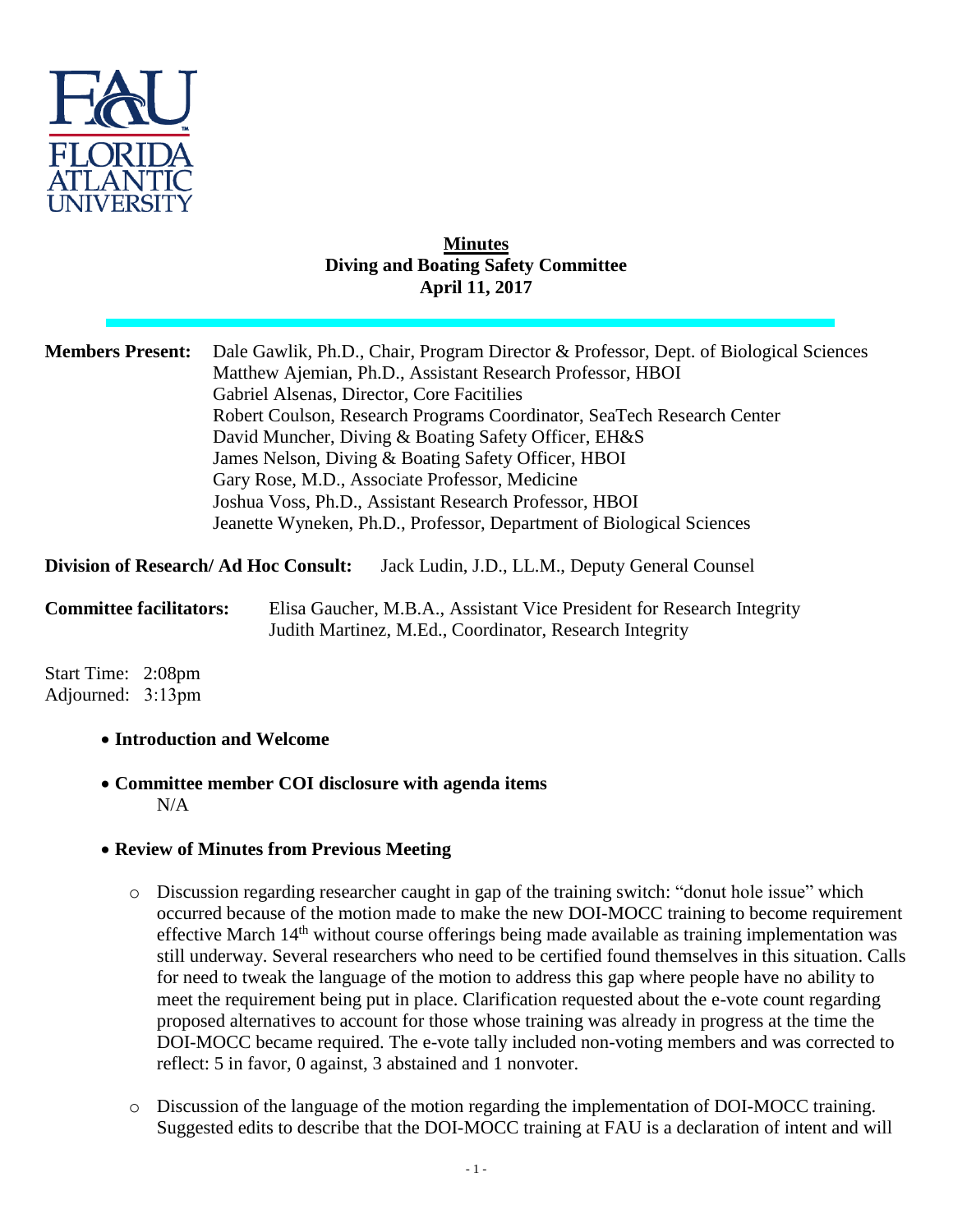

#### **Minutes Diving and Boating Safety Committee April 11, 2017**

| <b>Members Present:</b>                     | Dale Gawlik, Ph.D., Chair, Program Director & Professor, Dept. of Biological Sciences<br>Matthew Ajemian, Ph.D., Assistant Research Professor, HBOI |
|---------------------------------------------|-----------------------------------------------------------------------------------------------------------------------------------------------------|
|                                             |                                                                                                                                                     |
|                                             | Gabriel Alsenas, Director, Core Facitilies                                                                                                          |
|                                             | Robert Coulson, Research Programs Coordinator, SeaTech Research Center                                                                              |
|                                             | David Muncher, Diving & Boating Safety Officer, EH&S                                                                                                |
|                                             | James Nelson, Diving & Boating Safety Officer, HBOI                                                                                                 |
|                                             | Gary Rose, M.D., Associate Professor, Medicine                                                                                                      |
|                                             | Joshua Voss, Ph.D., Assistant Research Professor, HBOI                                                                                              |
|                                             | Jeanette Wyneken, Ph.D., Professor, Department of Biological Sciences                                                                               |
| <b>Division of Research/Ad Hoc Consult:</b> | Jack Ludin, J.D., LL.M., Deputy General Counsel                                                                                                     |
|                                             |                                                                                                                                                     |

**Committee facilitators:** Elisa Gaucher, M.B.A., Assistant Vice President for Research Integrity Judith Martinez, M.Ed., Coordinator, Research Integrity

Start Time: 2:08pm Adjourned: 3:13pm

## **Introduction and Welcome**

 **Committee member COI disclosure with agenda items** N/A

## **Review of Minutes from Previous Meeting**

- o Discussion regarding researcher caught in gap of the training switch: "donut hole issue" which occurred because of the motion made to make the new DOI-MOCC training to become requirement effective March 14<sup>th</sup> without course offerings being made available as training implementation was still underway. Several researchers who need to be certified found themselves in this situation. Calls for need to tweak the language of the motion to address this gap where people have no ability to meet the requirement being put in place. Clarification requested about the e-vote count regarding proposed alternatives to account for those whose training was already in progress at the time the DOI-MOCC became required. The e-vote tally included non-voting members and was corrected to reflect: 5 in favor, 0 against, 3 abstained and 1 nonvoter.
- o Discussion of the language of the motion regarding the implementation of DOI-MOCC training. Suggested edits to describe that the DOI-MOCC training at FAU is a declaration of intent and will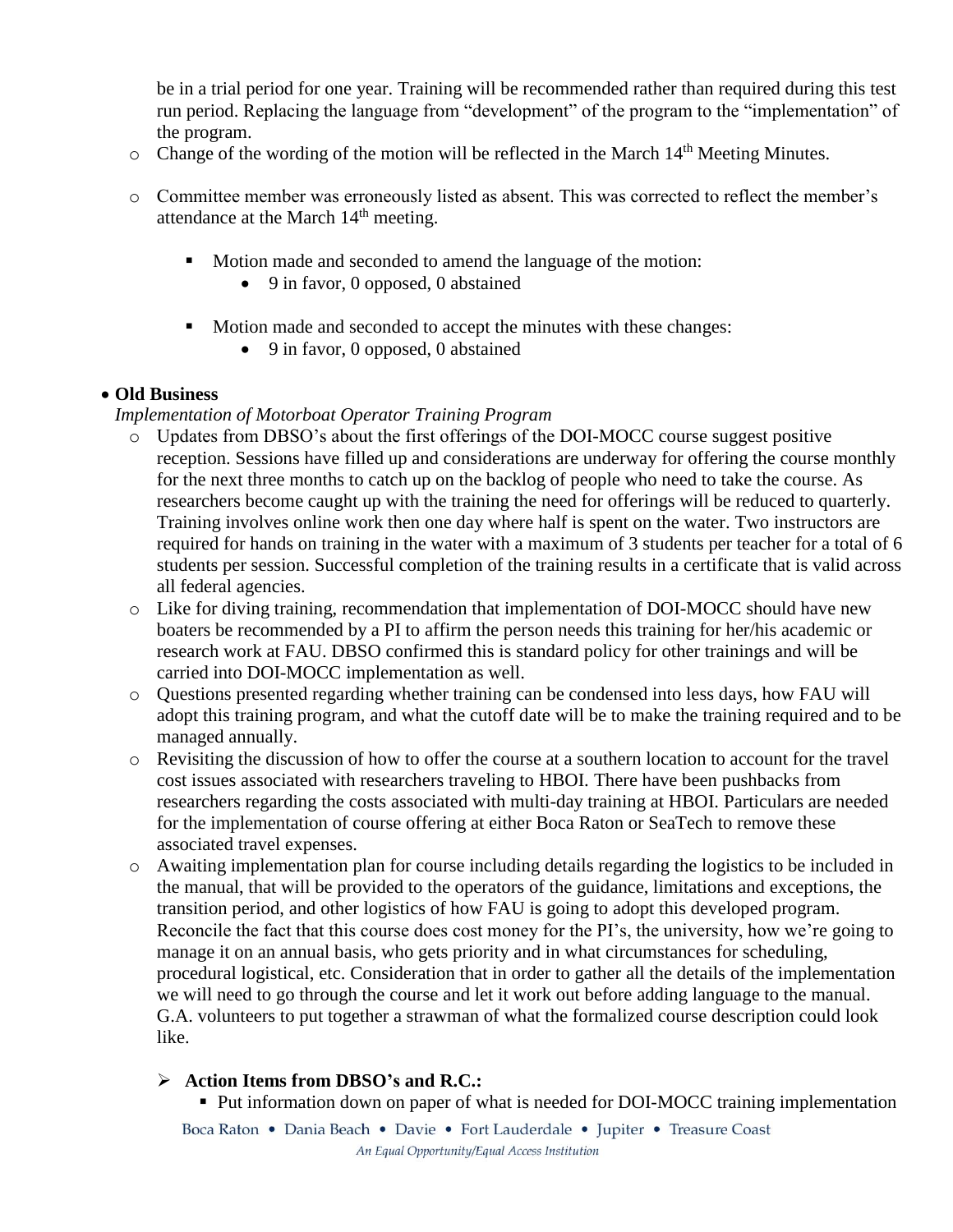be in a trial period for one year. Training will be recommended rather than required during this test run period. Replacing the language from "development" of the program to the "implementation" of the program.

- $\circ$  Change of the wording of the motion will be reflected in the March 14<sup>th</sup> Meeting Minutes.
- o Committee member was erroneously listed as absent. This was corrected to reflect the member's attendance at the March 14<sup>th</sup> meeting.
	- Motion made and seconded to amend the language of the motion:
		- 9 in favor, 0 opposed, 0 abstained
	- Motion made and seconded to accept the minutes with these changes:
		- 9 in favor, 0 opposed, 0 abstained

## **Old Business**

## *Implementation of Motorboat Operator Training Program*

- o Updates from DBSO's about the first offerings of the DOI-MOCC course suggest positive reception. Sessions have filled up and considerations are underway for offering the course monthly for the next three months to catch up on the backlog of people who need to take the course. As researchers become caught up with the training the need for offerings will be reduced to quarterly. Training involves online work then one day where half is spent on the water. Two instructors are required for hands on training in the water with a maximum of 3 students per teacher for a total of 6 students per session. Successful completion of the training results in a certificate that is valid across all federal agencies.
- o Like for diving training, recommendation that implementation of DOI-MOCC should have new boaters be recommended by a PI to affirm the person needs this training for her/his academic or research work at FAU. DBSO confirmed this is standard policy for other trainings and will be carried into DOI-MOCC implementation as well.
- o Questions presented regarding whether training can be condensed into less days, how FAU will adopt this training program, and what the cutoff date will be to make the training required and to be managed annually.
- o Revisiting the discussion of how to offer the course at a southern location to account for the travel cost issues associated with researchers traveling to HBOI. There have been pushbacks from researchers regarding the costs associated with multi-day training at HBOI. Particulars are needed for the implementation of course offering at either Boca Raton or SeaTech to remove these associated travel expenses.
- o Awaiting implementation plan for course including details regarding the logistics to be included in the manual, that will be provided to the operators of the guidance, limitations and exceptions, the transition period, and other logistics of how FAU is going to adopt this developed program. Reconcile the fact that this course does cost money for the PI's, the university, how we're going to manage it on an annual basis, who gets priority and in what circumstances for scheduling, procedural logistical, etc. Consideration that in order to gather all the details of the implementation we will need to go through the course and let it work out before adding language to the manual. G.A. volunteers to put together a strawman of what the formalized course description could look like.

# **Action Items from DBSO's and R.C.:**

Put information down on paper of what is needed for DOI-MOCC training implementation

Boca Raton • Dania Beach • Davie • Fort Lauderdale • Jupiter • Treasure Coast An Equal Opportunity/Equal Access Institution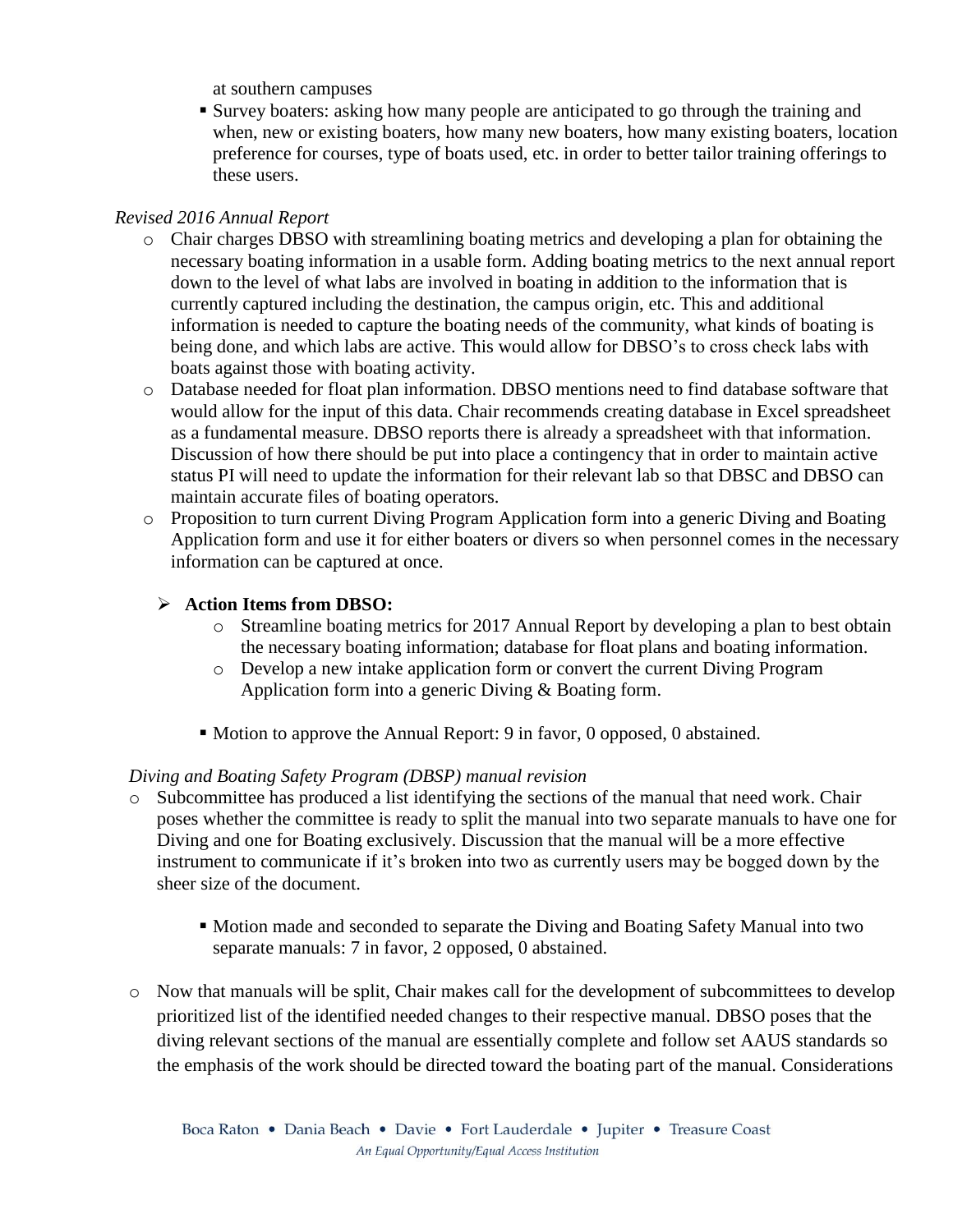at southern campuses

 Survey boaters: asking how many people are anticipated to go through the training and when, new or existing boaters, how many new boaters, how many existing boaters, location preference for courses, type of boats used, etc. in order to better tailor training offerings to these users.

## *Revised 2016 Annual Report*

- o Chair charges DBSO with streamlining boating metrics and developing a plan for obtaining the necessary boating information in a usable form. Adding boating metrics to the next annual report down to the level of what labs are involved in boating in addition to the information that is currently captured including the destination, the campus origin, etc. This and additional information is needed to capture the boating needs of the community, what kinds of boating is being done, and which labs are active. This would allow for DBSO's to cross check labs with boats against those with boating activity.
- o Database needed for float plan information. DBSO mentions need to find database software that would allow for the input of this data. Chair recommends creating database in Excel spreadsheet as a fundamental measure. DBSO reports there is already a spreadsheet with that information. Discussion of how there should be put into place a contingency that in order to maintain active status PI will need to update the information for their relevant lab so that DBSC and DBSO can maintain accurate files of boating operators.
- o Proposition to turn current Diving Program Application form into a generic Diving and Boating Application form and use it for either boaters or divers so when personnel comes in the necessary information can be captured at once.

## **Action Items from DBSO:**

- o Streamline boating metrics for 2017 Annual Report by developing a plan to best obtain the necessary boating information; database for float plans and boating information.
- o Develop a new intake application form or convert the current Diving Program Application form into a generic Diving & Boating form.
- Motion to approve the Annual Report: 9 in favor, 0 opposed, 0 abstained.

## *Diving and Boating Safety Program (DBSP) manual revision*

- o Subcommittee has produced a list identifying the sections of the manual that need work. Chair poses whether the committee is ready to split the manual into two separate manuals to have one for Diving and one for Boating exclusively. Discussion that the manual will be a more effective instrument to communicate if it's broken into two as currently users may be bogged down by the sheer size of the document.
	- Motion made and seconded to separate the Diving and Boating Safety Manual into two separate manuals: 7 in favor, 2 opposed, 0 abstained.
- o Now that manuals will be split, Chair makes call for the development of subcommittees to develop prioritized list of the identified needed changes to their respective manual. DBSO poses that the diving relevant sections of the manual are essentially complete and follow set AAUS standards so the emphasis of the work should be directed toward the boating part of the manual. Considerations